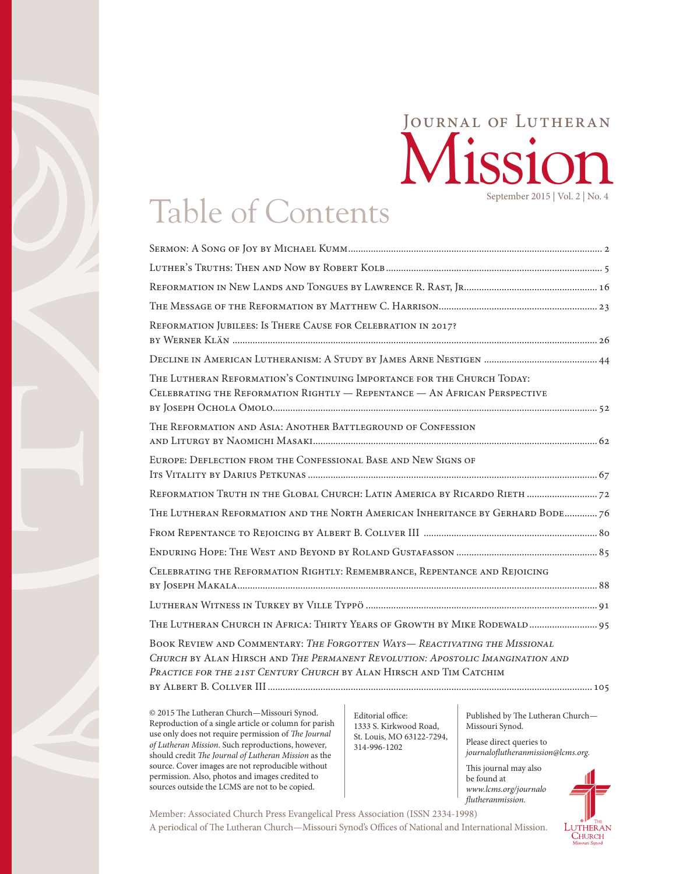## Mission Journal of Lutheran September 2015 | Vol. 2 | No. 4

# Table of Contents

| REFORMATION JUBILEES: IS THERE CAUSE FOR CELEBRATION IN 2017?                                                                                                                                                                      |  |
|------------------------------------------------------------------------------------------------------------------------------------------------------------------------------------------------------------------------------------|--|
|                                                                                                                                                                                                                                    |  |
| THE LUTHERAN REFORMATION'S CONTINUING IMPORTANCE FOR THE CHURCH TODAY:<br>CELEBRATING THE REFORMATION RIGHTLY - REPENTANCE - AN AFRICAN PERSPECTIVE                                                                                |  |
| THE REFORMATION AND ASIA: ANOTHER BATTLEGROUND OF CONFESSION                                                                                                                                                                       |  |
| EUROPE: DEFLECTION FROM THE CONFESSIONAL BASE AND NEW SIGNS OF                                                                                                                                                                     |  |
| REFORMATION TRUTH IN THE GLOBAL CHURCH: LATIN AMERICA BY RICARDO RIETH  72                                                                                                                                                         |  |
| THE LUTHERAN REFORMATION AND THE NORTH AMERICAN INHERITANCE BY GERHARD BODE 76                                                                                                                                                     |  |
|                                                                                                                                                                                                                                    |  |
|                                                                                                                                                                                                                                    |  |
| CELEBRATING THE REFORMATION RIGHTLY: REMEMBRANCE, REPENTANCE AND REJOICING                                                                                                                                                         |  |
|                                                                                                                                                                                                                                    |  |
| THE LUTHERAN CHURCH IN AFRICA: THIRTY YEARS OF GROWTH BY MIKE RODEWALD 95                                                                                                                                                          |  |
| BOOK REVIEW AND COMMENTARY: THE FORGOTTEN WAYS-REACTIVATING THE MISSIONAL<br>CHURCH BY ALAN HIRSCH AND THE PERMANENT REVOLUTION: APOSTOLIC IMANGINATION AND<br>PRACTICE FOR THE 21ST CENTURY CHURCH BY ALAN HIRSCH AND TIM CATCHIM |  |
|                                                                                                                                                                                                                                    |  |

© 2015 The Lutheran Church—Missouri Synod. Reproduction of a single article or column for parish use only does not require permission of *The Journal of Lutheran Mission*. Such reproductions, however, should credit *The Journal of Lutheran Mission* as the source. Cover images are not reproducible without permission. Also, photos and images credited to sources outside the LCMS are not to be copied.

Editorial office: 1333 S. Kirkwood Road, St. Louis, MO 63122-7294, 314-996-1202

Published by The Lutheran Church— Missouri Synod.

Please direct queries to *journaloflutheranmission@lcms.org.*

This journal may also be found at *[www.lcms.org/journalo](http://www.lcms.org/journalofluthermission) [flutheranmission](http://www.lcms.org/journalofluthermission).*



A periodical of The Lutheran Church—Missouri Synod's Offices of National and International Mission. Member: Associated Church Press Evangelical Press Association (ISSN 2334-1998)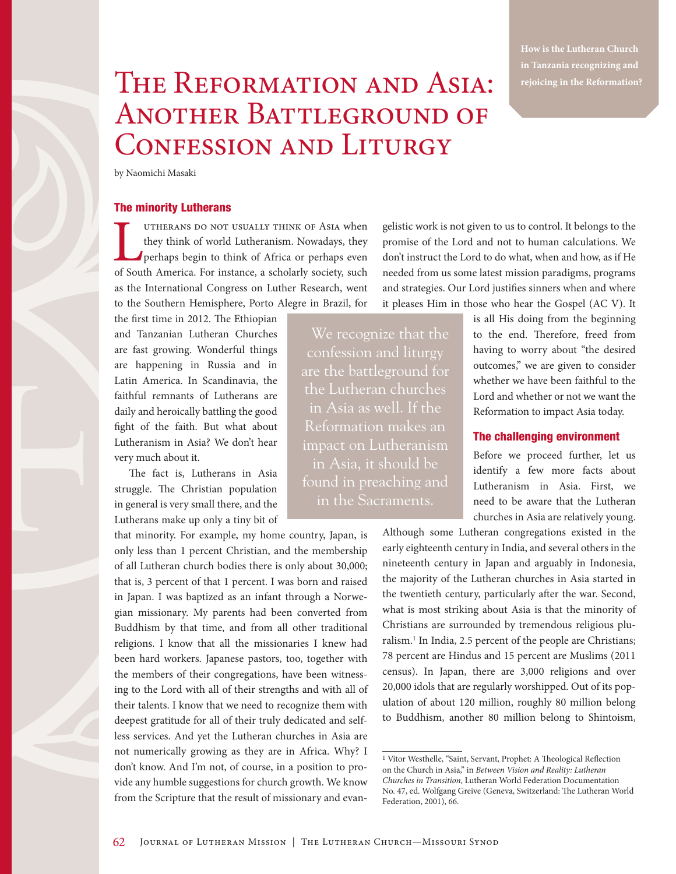**in Tanzania recognizing and rejoicing in the Reformation?** 

## THE REFORMATION AND ASIA: Another Battleground of CONFESSION AND LITURGY

by Naomichi Masaki

#### The minority Lutherans

UTHERANS DO NOT USUALLY THINK OF ASIA when<br>they think of world Lutheranism. Nowadays, they<br>perhaps begin to think of Africa or perhaps even<br>of South America. For instance, a scholarly society, such they think of world Lutheranism. Nowadays, they perhaps begin to think of Africa or perhaps even of South America. For instance, a scholarly society, such as the International Congress on Luther Research, went to the Southern Hemisphere, Porto Alegre in Brazil, for

the first time in 2012. The Ethiopian and Tanzanian Lutheran Churches are fast growing. Wonderful things are happening in Russia and in Latin America. In Scandinavia, the faithful remnants of Lutherans are daily and heroically battling the good fight of the faith. But what about Lutheranism in Asia? We don't hear very much about it.

The fact is, Lutherans in Asia struggle. The Christian population in general is very small there, and the Lutherans make up only a tiny bit of

that minority. For example, my home country, Japan, is only less than 1 percent Christian, and the membership of all Lutheran church bodies there is only about 30,000; that is, 3 percent of that 1 percent. I was born and raised in Japan. I was baptized as an infant through a Norwegian missionary. My parents had been converted from Buddhism by that time, and from all other traditional religions. I know that all the missionaries I knew had been hard workers. Japanese pastors, too, together with the members of their congregations, have been witnessing to the Lord with all of their strengths and with all of their talents. I know that we need to recognize them with deepest gratitude for all of their truly dedicated and selfless services. And yet the Lutheran churches in Asia are not numerically growing as they are in Africa. Why? I don't know. And I'm not, of course, in a position to provide any humble suggestions for church growth. We know from the Scripture that the result of missionary and evangelistic work is not given to us to control. It belongs to the promise of the Lord and not to human calculations. We don't instruct the Lord to do what, when and how, as if He needed from us some latest mission paradigms, programs and strategies. Our Lord justifies sinners when and where it pleases Him in those who hear the Gospel (AC V). It

We recognize that the confession and liturgy are the battleground for the Lutheran churches in Asia as well. If the Reformation makes an impact on Lutheranism in the Sacraments.

is all His doing from the beginning to the end. Therefore, freed from having to worry about "the desired outcomes," we are given to consider whether we have been faithful to the Lord and whether or not we want the Reformation to impact Asia today.

#### The challenging environment

Before we proceed further, let us identify a few more facts about Lutheranism in Asia. First, we need to be aware that the Lutheran churches in Asia are relatively young.

Although some Lutheran congregations existed in the early eighteenth century in India, and several others in the nineteenth century in Japan and arguably in Indonesia, the majority of the Lutheran churches in Asia started in the twentieth century, particularly after the war. Second, what is most striking about Asia is that the minority of Christians are surrounded by tremendous religious pluralism.<sup>1</sup> In India, 2.5 percent of the people are Christians; 78 percent are Hindus and 15 percent are Muslims (2011 census). In Japan, there are 3,000 religions and over 20,000 idols that are regularly worshipped. Out of its population of about 120 million, roughly 80 million belong to Buddhism, another 80 million belong to Shintoism,

<sup>1</sup> Vítor Westhelle, "Saint, Servant, Prophet: A Theological Reflection on the Church in Asia," in *Between Vision and Reality: Lutheran Churches in Transition*, Lutheran World Federation Documentation No. 47, ed. Wolfgang Greive (Geneva, Switzerland: The Lutheran World Federation, 2001), 66.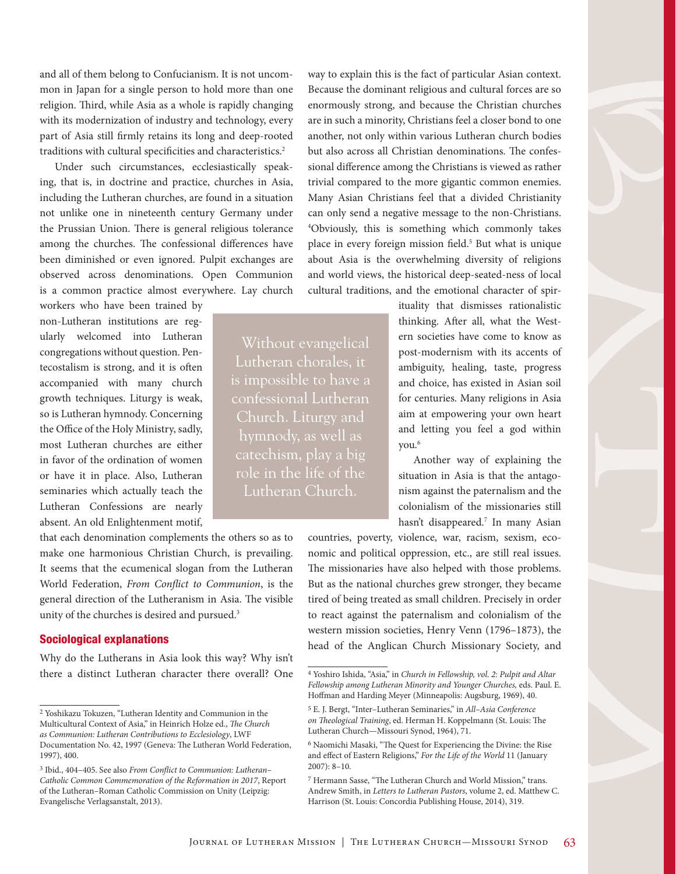and all of them belong to Confucianism. It is not uncommon in Japan for a single person to hold more than one religion. Third, while Asia as a whole is rapidly changing with its modernization of industry and technology, every part of Asia still firmly retains its long and deep-rooted traditions with cultural specificities and characteristics.<sup>2</sup>

Under such circumstances, ecclesiastically speaking, that is, in doctrine and practice, churches in Asia, including the Lutheran churches, are found in a situation not unlike one in nineteenth century Germany under the Prussian Union. There is general religious tolerance among the churches. The confessional differences have been diminished or even ignored. Pulpit exchanges are observed across denominations. Open Communion is a common practice almost everywhere. Lay church

> Without evangelical Lutheran chorales, it is impossible to have a confessional Lutheran Church. Liturgy and

role in the life of the Lutheran Church.

workers who have been trained by non-Lutheran institutions are regularly welcomed into Lutheran congregations without question. Pentecostalism is strong, and it is often accompanied with many church growth techniques. Liturgy is weak, so is Lutheran hymnody. Concerning the Office of the Holy Ministry, sadly, most Lutheran churches are either in favor of the ordination of women or have it in place. Also, Lutheran seminaries which actually teach the Lutheran Confessions are nearly absent. An old Enlightenment motif,

that each denomination complements the others so as to make one harmonious Christian Church, is prevailing. It seems that the ecumenical slogan from the Lutheran World Federation, *From Conflict to Communion*, is the general direction of the Lutheranism in Asia. The visible unity of the churches is desired and pursued.<sup>3</sup>

#### Sociological explanations

Why do the Lutherans in Asia look this way? Why isn't there a distinct Lutheran character there overall? One way to explain this is the fact of particular Asian context. Because the dominant religious and cultural forces are so enormously strong, and because the Christian churches are in such a minority, Christians feel a closer bond to one another, not only within various Lutheran church bodies but also across all Christian denominations. The confessional difference among the Christians is viewed as rather trivial compared to the more gigantic common enemies. Many Asian Christians feel that a divided Christianity can only send a negative message to the non-Christians. 4 Obviously, this is something which commonly takes place in every foreign mission field.<sup>5</sup> But what is unique about Asia is the overwhelming diversity of religions and world views, the historical deep-seated-ness of local cultural traditions, and the emotional character of spir-

> ituality that dismisses rationalistic thinking. After all, what the Western societies have come to know as post-modernism with its accents of ambiguity, healing, taste, progress and choice, has existed in Asian soil for centuries. Many religions in Asia aim at empowering your own heart and letting you feel a god within you.6

> Another way of explaining the situation in Asia is that the antagonism against the paternalism and the colonialism of the missionaries still hasn't disappeared.<sup>7</sup> In many Asian

countries, poverty, violence, war, racism, sexism, economic and political oppression, etc., are still real issues. The missionaries have also helped with those problems. But as the national churches grew stronger, they became tired of being treated as small children. Precisely in order to react against the paternalism and colonialism of the western mission societies, Henry Venn (1796–1873), the head of the Anglican Church Missionary Society, and

<sup>2</sup> Yoshikazu Tokuzen, "Lutheran Identity and Communion in the Multicultural Context of Asia," in Heinrich Holze ed., *The Church as Communion: Lutheran Contributions to Ecclesiology*, LWF Documentation No. 42, 1997 (Geneva: The Lutheran World Federation, 1997), 400.

<sup>3</sup> Ibid., 404–405. See also *From Conflict to Communion: Lutheran– Catholic Common Commemoration of the Reformation in 2017*, Report of the Lutheran–Roman Catholic Commission on Unity (Leipzig: Evangelische Verlagsanstalt, 2013).

<sup>4</sup> Yoshiro Ishida, "Asia," in *Church in Fellowship, vol. 2: Pulpit and Altar Fellowship among Lutheran Minority and Younger Churches,* eds. Paul. E. Hoffman and Harding Meyer (Minneapolis: Augsburg, 1969), 40.

<sup>5</sup> E. J. Bergt, "Inter–Lutheran Seminaries," in *All–Asia Conference on Theological Training*, ed. Herman H. Koppelmann (St. Louis: The Lutheran Church—Missouri Synod, 1964), 71.

<sup>6</sup> Naomichi Masaki, "The Quest for Experiencing the Divine: the Rise and effect of Eastern Religions," *For the Life of the World* 11 (January 2007): 8–10.

<sup>7</sup> Hermann Sasse, "The Lutheran Church and World Mission," trans. Andrew Smith, in *Letters to Lutheran Pastors*, volume 2, ed. Matthew C. Harrison (St. Louis: Concordia Publishing House, 2014), 319.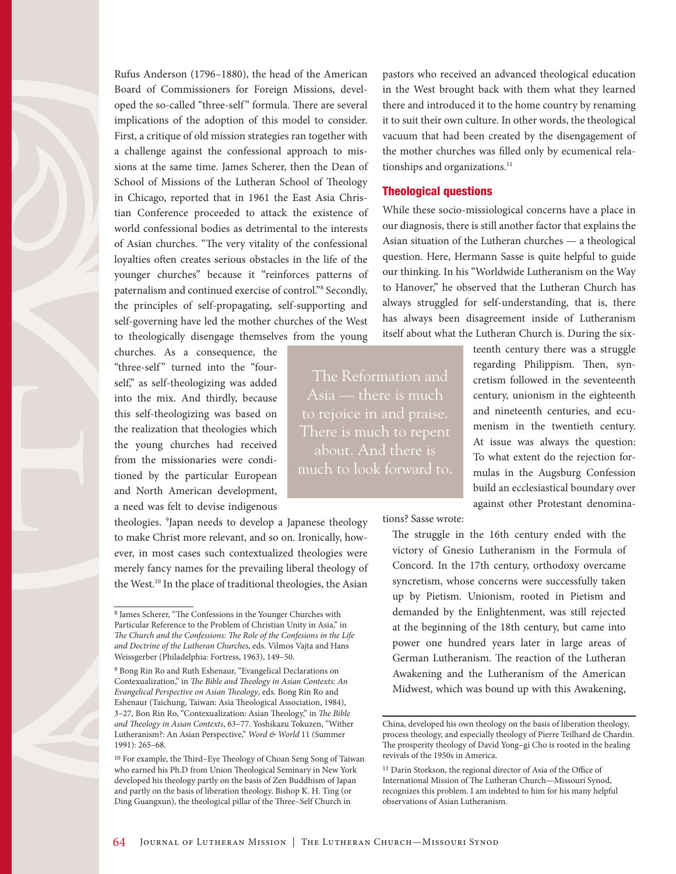Rufus Anderson (1796–1880), the head of the American Board of Commissioners for Foreign Missions, developed the so-called "three-self " formula. There are several implications of the adoption of this model to consider. First, a critique of old mission strategies ran together with a challenge against the confessional approach to missions at the same time. James Scherer, then the Dean of School of Missions of the Lutheran School of Theology in Chicago, reported that in 1961 the East Asia Christian Conference proceeded to attack the existence of world confessional bodies as detrimental to the interests of Asian churches. "The very vitality of the confessional loyalties often creates serious obstacles in the life of the younger churches" because it "reinforces patterns of paternalism and continued exercise of control."<sup>8</sup> Secondly, the principles of self-propagating, self-supporting and self-governing have led the mother churches of the West to theologically disengage themselves from the young

churches. As a consequence, the "three-self" turned into the "fourself," as self-theologizing was added into the mix. And thirdly, because this self-theologizing was based on the realization that theologies which the young churches had received from the missionaries were conditioned by the particular European and North American development, a need was felt to devise indigenous

theologies. 9 Japan needs to develop a Japanese theology to make Christ more relevant, and so on. Ironically, however, in most cases such contextualized theologies were merely fancy names for the prevailing liberal theology of the West.<sup>10</sup> In the place of traditional theologies, the Asian

pastors who received an advanced theological education in the West brought back with them what they learned there and introduced it to the home country by renaming it to suit their own culture. In other words, the theological vacuum that had been created by the disengagement of the mother churches was filled only by ecumenical relationships and organizations.<sup>11</sup>

#### Theological questions

While these socio-missiological concerns have a place in our diagnosis, there is still another factor that explains the Asian situation of the Lutheran churches — a theological question. Here, Hermann Sasse is quite helpful to guide our thinking. In his "Worldwide Lutheranism on the Way to Hanover," he observed that the Lutheran Church has always struggled for self-understanding, that is, there has always been disagreement inside of Lutheranism itself about what the Lutheran Church is. During the six-

The Reformation and Asia — there is much There is much to repent about. And there is much to look forward to. teenth century there was a struggle regarding Philippism. Then, syncretism followed in the seventeenth century, unionism in the eighteenth and nineteenth centuries, and ecumenism in the twentieth century. At issue was always the question: To what extent do the rejection formulas in the Augsburg Confession build an ecclesiastical boundary over against other Protestant denomina-

tions? Sasse wrote:

The struggle in the 16th century ended with the victory of Gnesio Lutheranism in the Formula of Concord. In the 17th century, orthodoxy overcame syncretism, whose concerns were successfully taken up by Pietism. Unionism, rooted in Pietism and demanded by the Enlightenment, was still rejected at the beginning of the 18th century, but came into power one hundred years later in large areas of German Lutheranism. The reaction of the Lutheran Awakening and the Lutheranism of the American Midwest, which was bound up with this Awakening,

<sup>8</sup> James Scherer, "The Confessions in the Younger Churches with Particular Reference to the Problem of Christian Unity in Asia," in *The Church and the Confessions: The Role of the Confesions in the Life and Doctrine of the Lutheran Churches*, eds. Vilmos Vajta and Hans Weissgerber (Philadelphia: Fortress, 1963), 149–50.

<sup>9</sup> Bong Rin Ro and Ruth Eshenaur, "Evangelical Declarations on Contexualization," in *The Bible and Theology in Asian Contexts: An Evangelical Perspective on Asian Theology*, eds. Bong Rin Ro and Eshenaur (Taichung, Taiwan: Asia Theological Association, 1984), 3–27, Bon Rin Ro, "Contexualization: Asian Theology," in *The Bible and Theology in Asian Contexts*, 63–77. Yoshikazu Tokuzen, "Wither Lutheranism?: An Asian Perspective," *Word & World* 11 (Summer 1991): 265–68.

<sup>10</sup> For example, the Third–Eye Theology of Choan Seng Song of Taiwan who earned his Ph.D from Union Theological Seminary in New York developed his theology partly on the basis of Zen Buddhism of Japan and partly on the basis of liberation theology. Bishop K. H. Ting (or Ding Guangxun), the theological pillar of the Three–Self Church in

China, developed his own theology on the basis of liberation theology, process theology, and especially theology of Pierre Teilhard de Chardin. The prosperity theology of David Yong–gi Cho is rooted in the healing revivals of the 1950s in America.

<sup>11</sup> Darin Storkson, the regional director of Asia of the Office of International Mission of The Lutheran Church—Missouri Synod, recognizes this problem. I am indebted to him for his many helpful observations of Asian Lutheranism.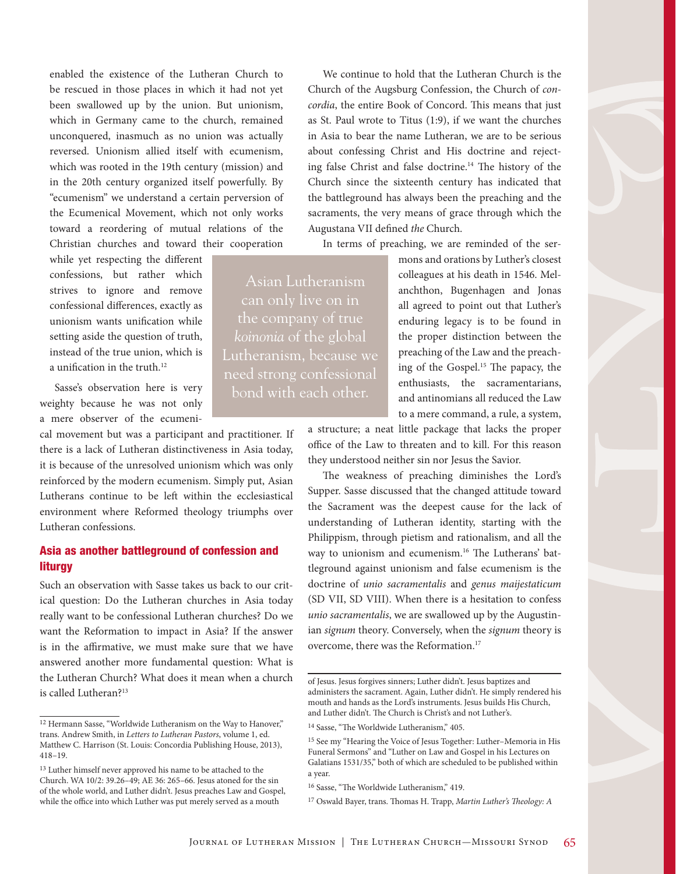enabled the existence of the Lutheran Church to be rescued in those places in which it had not yet been swallowed up by the union. But unionism, which in Germany came to the church, remained unconquered, inasmuch as no union was actually reversed. Unionism allied itself with ecumenism, which was rooted in the 19th century (mission) and in the 20th century organized itself powerfully. By "ecumenism" we understand a certain perversion of the Ecumenical Movement, which not only works toward a reordering of mutual relations of the Christian churches and toward their cooperation

while yet respecting the different confessions, but rather which strives to ignore and remove confessional differences, exactly as unionism wants unification while setting aside the question of truth, instead of the true union, which is a unification in the truth.<sup>12</sup>

Sasse's observation here is very weighty because he was not only a mere observer of the ecumeni-

cal movement but was a participant and practitioner. If there is a lack of Lutheran distinctiveness in Asia today, it is because of the unresolved unionism which was only reinforced by the modern ecumenism. Simply put, Asian Lutherans continue to be left within the ecclesiastical environment where Reformed theology triumphs over Lutheran confessions.

### Asia as another battleground of confession and **liturav**

Such an observation with Sasse takes us back to our critical question: Do the Lutheran churches in Asia today really want to be confessional Lutheran churches? Do we want the Reformation to impact in Asia? If the answer is in the affirmative, we must make sure that we have answered another more fundamental question: What is the Lutheran Church? What does it mean when a church is called Lutheran?13

We continue to hold that the Lutheran Church is the Church of the Augsburg Confession, the Church of *concordia*, the entire Book of Concord. This means that just as St. Paul wrote to Titus (1:9), if we want the churches in Asia to bear the name Lutheran, we are to be serious about confessing Christ and His doctrine and rejecting false Christ and false doctrine.14 The history of the Church since the sixteenth century has indicated that the battleground has always been the preaching and the sacraments, the very means of grace through which the Augustana VII defined *the* Church.

In terms of preaching, we are reminded of the ser-

mons and orations by Luther's closest colleagues at his death in 1546. Melanchthon, Bugenhagen and Jonas all agreed to point out that Luther's enduring legacy is to be found in the proper distinction between the preaching of the Law and the preaching of the Gospel.<sup>15</sup> The papacy, the enthusiasts, the sacramentarians, and antinomians all reduced the Law to a mere command, a rule, a system,

a structure; a neat little package that lacks the proper office of the Law to threaten and to kill. For this reason they understood neither sin nor Jesus the Savior.

The weakness of preaching diminishes the Lord's Supper. Sasse discussed that the changed attitude toward the Sacrament was the deepest cause for the lack of understanding of Lutheran identity, starting with the Philippism, through pietism and rationalism, and all the way to unionism and ecumenism.16 The Lutherans' battleground against unionism and false ecumenism is the doctrine of *unio sacramentalis* and *genus maijestaticum*  (SD VII, SD VIII). When there is a hesitation to confess *unio sacramentalis*, we are swallowed up by the Augustinian *signum* theory. Conversely, when the *signum* theory is overcome, there was the Reformation.17

16 Sasse, "The Worldwide Lutheranism," 419.

JOURNAL OF LUTHERAN MISSION | THE LUTHERAN CHURCH-MISSOURI SYNOD 65

Asian Lutheranism the company of true *koinonia* of the global Lutheranism, because we need strong confessional bond with each other.

<sup>&</sup>lt;sup>12</sup> Hermann Sasse, "Worldwide Lutheranism on the Way to Hanover," trans. Andrew Smith, in *Letters to Lutheran Pastors*, volume 1, ed. Matthew C. Harrison (St. Louis: Concordia Publishing House, 2013), 418–19.

 $^{13}$  Luther himself never approved his name to be attached to the Church. WA 10/2: 39.26–49; AE 36: 265–66. Jesus atoned for the sin of the whole world, and Luther didn't. Jesus preaches Law and Gospel, while the office into which Luther was put merely served as a mouth

of Jesus. Jesus forgives sinners; Luther didn't. Jesus baptizes and administers the sacrament. Again, Luther didn't. He simply rendered his mouth and hands as the Lord's instruments. Jesus builds His Church, and Luther didn't. The Church is Christ's and not Luther's.

<sup>14</sup> Sasse, "The Worldwide Lutheranism," 405.

<sup>15</sup> See my "Hearing the Voice of Jesus Together: Luther–Memoria in His Funeral Sermons" and "Luther on Law and Gospel in his Lectures on Galatians 1531/35," both of which are scheduled to be published within a year.

<sup>17</sup> Oswald Bayer, trans. Thomas H. Trapp, *Martin Luther's Theology: A*